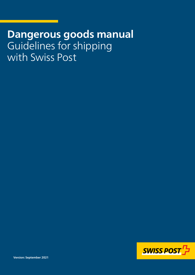# **Dangerous goods manual** Guidelines for shipping with Swiss Post

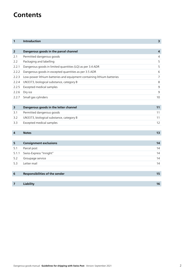# **Contents**

| 1                       | Introduction                                                           | $\overline{\mathbf{3}}$ |
|-------------------------|------------------------------------------------------------------------|-------------------------|
|                         |                                                                        |                         |
| $\overline{2}$          | Dangerous goods in the parcel channel                                  | $\overline{4}$          |
| 2.1                     | Permitted dangerous goods                                              | $\overline{4}$          |
| 2.2                     | Packaging and labelling                                                | 5                       |
| 2.2.1                   | Dangerous goods in limited quantities (LQ) as per 3.4 ADR              | 5                       |
| 2.2.2                   | Dangerous goods in excepted quantities as per 3.5 ADR                  | 6                       |
| 2.2.3                   | Low-power lithium batteries and equipment containing lithium batteries | $\overline{7}$          |
| 2.2.4                   | UN3373, biological substance, category B                               | 8                       |
| 2.2.5                   | Excepted medical samples                                               | $\mathsf 9$             |
| 2.2.6                   | Dry ice                                                                | 9                       |
| 2.2.7                   | Small gas cylinders                                                    | 10                      |
|                         |                                                                        |                         |
| 3                       | Dangerous goods in the letter channel                                  | 11                      |
| 3.1                     | Permitted dangerous goods                                              | 11                      |
| 3.2                     | UN3373, biological substance, category B                               | 11                      |
| 3.3                     | Excepted medical samples                                               | 12                      |
|                         |                                                                        |                         |
| $\overline{\mathbf{4}}$ | <b>Notes</b>                                                           | 13                      |
|                         |                                                                        |                         |
| 5                       | <b>Consignment exclusions</b>                                          | 14                      |
| 5.1                     | Parcel post                                                            | 14                      |
| 5.1.1                   | Swiss-Express "Innight"                                                | 14                      |
| 5.2                     | Groupage service                                                       | 14                      |
| 5.3                     | Letter mail                                                            | 14                      |
|                         |                                                                        |                         |
| 6                       | Responsibilities of the sender                                         | 15                      |
|                         |                                                                        |                         |
| 7                       | Liability                                                              | 16                      |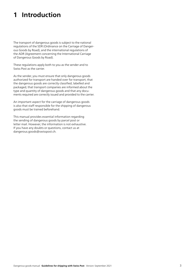# <span id="page-2-0"></span>**1 Introduction**

The transport of dangerous goods is subject to the national regulations of the SDR (Ordinance on the Carriage of Dangerous Goods by Road), and the international regulations of the ADR (Agreement concerning the International Carriage of Dangerous Goods by Road).

These regulations apply both to you as the sender and to Swiss Post as the carrier.

As the sender, you must ensure that only dangerous goods authorized for transport are handed over for transport, that the dangerous goods are correctly classified, labelled and packaged, that transport companies are informed about the type and quantity of dangerous goods and that any documents required are correctly issued and provided to the carrier.

An important aspect for the carriage of dangerous goods is also that staff responsible for the shipping of dangerous goods must be trained beforehand.

This manual provides essential information regarding the sending of dangerous goods by parcel post or letter mail. However, the information is not exhaustive. If you have any doubts or questions, contact us at [dangerous.goods@swisspost.ch.](mailto:dangerous.goods@swisspost.ch)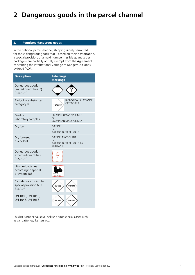# <span id="page-3-0"></span>**2 Dangerous goods in the parcel channel**

# **2.1 Permitted dangerous goods**

In the national parcel channel, shipping is only permitted for those dangerous goods that – based on their classification, a special provision, or a maximum permissible quantity per package – are partially or fully exempt from the Agreement concerning the International Carriage of Dangerous Goods by Road (ADR).

| <b>Description</b>                                         | Labelling/<br>markings                                                      |
|------------------------------------------------------------|-----------------------------------------------------------------------------|
| Dangerous goods in<br>limited quantities LQ<br>$(3.4$ ADR) |                                                                             |
| <b>Biological substances</b><br>category B                 | <b>BIOLOGICAL SUBSTANCE</b><br><b>CATEGORY B</b><br><b>UN3373</b>           |
| Medical<br>laboratory samples                              | <b>EXEMPT HUMAN SPECIMEN</b><br>$\alpha$ r<br><b>EXEMPT ANIMAL SPECIMEN</b> |
| Dry ice                                                    | <b>DRY ICE</b><br>$\alpha$ r<br>CARBON DIOXIDE, SOLID                       |
| Dry ice used<br>as coolant                                 | DRY ICE, AS COOLANT<br>or<br>CARBON DIOXIDE, SOLID AS<br>COOLANT            |
| Dangerous goods in<br>excepted quantities<br>$(3.5$ ADR)   |                                                                             |
| Lithium batteries<br>according to special<br>provision 188 | UN XXXX<br>TEL XXXXXXXXX                                                    |
| Cylinders according to<br>special provision 653<br>3.3 ADR | <b>UN 1013</b><br><b>UN 1006</b>                                            |
| UN 1006, UN 1013,<br>UN 1046, UN 1066                      | <b>UN 1066</b><br><b>UN 1046</b>                                            |

This list is not exhaustive. Ask us about special cases such as car batteries, lighters etc.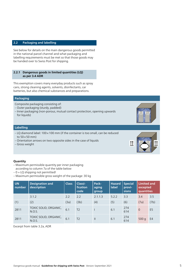# <span id="page-4-0"></span>**2.2 Packaging and labelling**

See below for details on the main dangerous goods permitted in the national parcel channel and what packaging and labelling requirements must be met so that those goods may be handed over to Swiss Post for shipping.

### **2.2.1 Dangerous goods in limited quantities (LQ) as per 3.4 ADR**

This exemption covers many everyday products such as spray cans, strong cleaning agents, solvents, disinfectants, car batteries, but also chemical substances and preparations.

# **Packaging**

Composite packaging consisting of:

- Outer packaging (sturdy, padded)
- Inner packaging (non-porous, mutual contact protection, opening upwards for liquids)

#### **Labelling**

- LQ diamond label:  $100 \times 100$  mm (if the container is too small, can be reduced to  $50 \times 50$  mm)
- Orientation arrows on two opposite sides in the case of liquids – Gross weight



# **Quantity**

- Maximum permissible quantity per inner packaging according to column 7a of the table below
- $-0 = LQ$  shipping not permitted!
- Maximum permissible gross weight of the package: 30 kg

| <b>UN</b><br>number | <b>Designation and</b><br>description | <b>Class</b> | Classi-<br>fication<br>code | Pack-<br>aging<br>group | <b>Hazard</b><br><b>label</b> | <b>Special</b><br>provi-<br>sions | <b>Limited and</b><br>excepted<br>quantities |                |
|---------------------|---------------------------------------|--------------|-----------------------------|-------------------------|-------------------------------|-----------------------------------|----------------------------------------------|----------------|
|                     | 3.1.2                                 | 2.2          | 2.2                         | 2.1.1.3                 | 5.2.2                         | 3.3                               | 3.4                                          | 3.5            |
| (1)                 | (2)                                   | (3a)         | (3b)                        | (4)                     | (5)                           | (6)                               | (7a)                                         | (7b)           |
| 2811                | TOXIC SOLID, ORGANIC,<br>N.O.S.       | 6.1          | T <sub>2</sub>              |                         | 6.1                           | 274<br>614                        | $\Omega$                                     | E <sub>5</sub> |
| 2811                | TOXIC SOLID, ORGANIC,<br>N.O.S.       | 6.1          | T <sub>2</sub>              | $\mathbf{H}$            | 6.1                           | 274<br>614                        | 500q                                         | E4             |

Excerpt from table 3.2a, ADR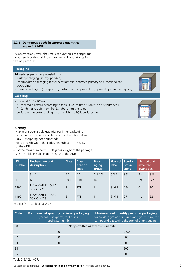# <span id="page-5-0"></span>**2.2.2 Dangerous goods in excepted quantities as per 3.5 ADR**

This exemption covers the smallest quantities of dangerous goods, such as those shipped by chemical laboratories for testing purposes.

# **Packaging**

- Triple-layer packaging, consisting of:
- Outer packaging (sturdy, padded)
- Intermediate packaging (absorbent material between primary and intermediate packaging)
- Primary packaging (non-porous, mutual contact protection, upward opening for liquids)

# **Labelling**

- $-$  EQ label: 100 $\times$  100 mm
- \* Enter main hazard according to table 3.2a, column 5 (only the first number!)
- \*\* Sender or recipient on the EQ label or on the same
- surface of the outer packaging on which the EQ label is located

# **Quantity**

- Maximum permissible quantity per inner packaging according to the code in column 7b of the table below
- E0 = EQ shipping not permitted!
- For a breakdown of the codes, see sub-section 3.5.1.2 of the ADR
- For the maximum permissible gross weight of the package, see the table in sub-section 3.5.1.2 of the ADR

| <b>UN</b><br>number | <b>Designation and</b><br>description | <b>Class</b> | Classi-<br>fication<br>code | Pack-<br>aging<br>group | <b>Hazard</b><br><b>label</b> | <b>Special</b><br>provi-<br>sions | <b>Limited and</b><br>excepted<br>quantities |                |
|---------------------|---------------------------------------|--------------|-----------------------------|-------------------------|-------------------------------|-----------------------------------|----------------------------------------------|----------------|
|                     | 3.1.2                                 | 2.2          | 22                          | 2.1.1.3                 | 5.2.2                         | 3.3                               | 3.4                                          | 3.5            |
| (1)                 | (2)                                   | (3a)         | (3b)                        | (4)                     | (5)                           | (6)                               | (7a)                                         | (7b)           |
| 1992                | FLAMMABLE LIQUID,<br>TOXIC, N.O.S.    | 3            | FT <sub>1</sub>             |                         | $3+6.1$                       | 274                               | $\Omega$                                     | E <sub>0</sub> |
| 1992                | FLAMMABLE LIQUID,<br>TOXIC, N.O.S.    | ξ            | FT <sub>1</sub>             | $\mathbf{H}$            | $3+6.1$                       | 274                               | 1 L                                          | E <sub>2</sub> |

Excerpt from table 3.2a, ADR

| Code           | <b>Maximum net quantity per inner packaging</b><br>(for solids in grams, for liquids<br>and gases in ml) | Maximum net quantity per outer packaging<br>(for solids in grams, for liquids and gases in ml, for<br>compound packaging the sum of grams and ml) |  |  |
|----------------|----------------------------------------------------------------------------------------------------------|---------------------------------------------------------------------------------------------------------------------------------------------------|--|--|
| E <sub>0</sub> | Not permitted as excepted quantity                                                                       |                                                                                                                                                   |  |  |
| E <sub>1</sub> | 30                                                                                                       | 1,000                                                                                                                                             |  |  |
| F <sub>2</sub> | 30                                                                                                       | 500                                                                                                                                               |  |  |
| E <sub>3</sub> | 30                                                                                                       | 300                                                                                                                                               |  |  |
| E4             |                                                                                                          | 500                                                                                                                                               |  |  |
| E <sub>5</sub> |                                                                                                          | 300                                                                                                                                               |  |  |
|                |                                                                                                          |                                                                                                                                                   |  |  |

Table 3.5.1.2a, ADR

Dangerous goods manual **Guidelines for shipping with Swiss Post** Version: September 2021 6

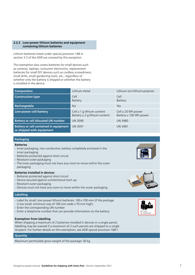# <span id="page-6-0"></span>**2.2.3** Low-power lithium batteries and equipment **containing lithium batteries**

Lithium batteries listed under special provision 188 in section 3.3 of the ADR are covered by this exception.

This exemption also covers batteries for small devices such as cameras, laptops, consumer electronics, replacement batteries for small DIY devices such as cordless screwdrivers, small drills, small gardening tools, etc., regardless of whether only the battery is shipped or whether the battery is installed in the device.

| <b>Composition</b>                                                         | Lithium metal                                                         | Lithium-ion/lithium-polymer                            |
|----------------------------------------------------------------------------|-----------------------------------------------------------------------|--------------------------------------------------------|
| <b>Construction type</b>                                                   | Cell<br>Battery                                                       | Cell<br>Battery                                        |
| Rechargeable                                                               | <b>No</b>                                                             | Yes                                                    |
| Low-power cell/battery                                                     | Cell $\leq 1$ g lithium content<br>Battery $\leq 2$ g lithium content | Cell $\leq$ 20 Wh power<br>Battery $\leq 100$ Wh power |
| <b>Battery or cell allocated UN number</b>                                 | <b>UN 3090</b>                                                        | <b>UN 3480</b>                                         |
| <b>Battery or cell contained in equipment</b><br>or shipped with equipment | <b>UN 3091</b>                                                        | <b>UN 3481</b>                                         |

# **Packaging**

### **Batteries**

- Inner packaging, non-conductive, battery completely enclosed in the inner packaging
- Batteries protected against short circuit
- Resistant outer packaging
- The inner packaging must not have any room to move within the outer packaging

### **Batteries installed in devices**

- Batteries protected against short circuit
- Device secured against unintentional start-up
- Resistant outer packaging
- Devices must not have any room to move within the outer packaging

# **Labelling**

- Label for small, low-power lithium batteries:  $100 \times 100$  mm (if the package is too small, minimum size of 100 mm wide  $\times$  70 mm high)
- Enter the corresponding UN number
- Enter a telephone number that can provide information on the battery

#### **Exemption from labelling**

When shipping a maximum of 2 batteries installed in devices in a single parcel, labelling may be waived if a maximum of 2 such parcels are shipped to a single recipient. For further details on this exemption, see ADR special provision 188 f.

#### **Quantity**

Maximum permissible gross weight of the package: 30 kg





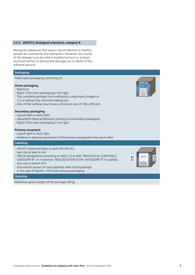#### <span id="page-7-0"></span>**2.2.4 UN3373, biological substance, category B**

Biological substances that pose a risk of infection to healthy people are covered by this exemption. However, the course of the disease must be mild in healthy humans or animals and lead neither to permanent damage nor to death of the infected persons.

# **Packaging**

Triple-layer packaging, consisting of:

# **Outer packaging**

- Resistant
- Rigid, if the inner packaging is not rigid
- The complete package must withstand a drop from a height of
- 1.2 m without the contents leaking out
- One of the surfaces must have a minimum size of  $100 \times 100$  mm

# **Secondary packaging**

- Liquid-tight or dust-tight
- Absorbent material between primary and secondary packaging
- Rigid, if the outer packaging is not rigid

#### **Primary receptacle**

- Liquid-tight or dust-tight
- Padding or physical separation of the primary receptacles from each other

#### **Labelling**

- $-$  UN3373 diamond label, at least 50 $\times$ 50 mm, text size at least 6 mm
- Official designation according to table 3.2 A ADR: "BIOLOGICAL SUBSTANCE, CATEGORY B", or in German "BIOLOGISCHER STOFF, KATEGORIE B" in capitals, text size at least 6 mm
- Orientation arrows on two opposite sides of the package in the case of liquids > 50 ml per primary packaging

#### **Quantity**

Maximum gross weight of the package: 30 kg

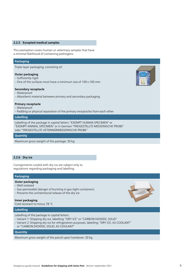### <span id="page-8-0"></span>**2.2.5 Excepted medical samples**

This exemption covers human or veterinary samples that have a minimal likelihood of containing pathogens.

#### **Packaging**

Triple-layer packaging, consisting of:

#### **Outer packaging**

- Sufficiently rigid
- One of the surfaces must have a minimum size of  $100 \times 100$  mm

#### **Secondary receptacle**

- Waterproof
- Absorbent material between primary and secondary packaging

#### **Primary receptacle**

- Waterproof
- Padding or physical separation of the primary receptacles from each other

### **Labelling**

Labelling of the package in capital letters: "EXEMPT HUMAN SPECIMEN" or "EXEMPT ANIMAL SPECIMEN" or in German "FREIGESTELLTE MEDIZINISCHE PROBE" oder "FREIGESTELLTE VETERINÄRMEDIZINISCHE PROBE"

#### **Quantity**

Maximum gross weight of the package: 30 kg

### **2.2.6 Dry ice**

Consignments cooled with dry ice are subject only to regulations regarding packaging and labelling.

#### **Packaging**

#### **Outer packaging**

- Well isolated
- Gas-permeable (danger of bursting in gas-tight containers)
- Prevents the unintentional release of the dry ice
- **Inner packaging** Cold-resistant to minus 78 °C

# **Labelling**

Labelling of the package in capital letters:

- Variant 1: Shipping dry ice, labelling: "DRY ICE" or "CARBON DIOXIDE, SOLID"
- Variant 2: Shipping dry ice for refrigeration purposes, labelling: "DRY ICE, AS COOLANT"
- or "CARBON DIOXIDE, SOLID, AS COOLANT"

### **Quantity**

Maximum gross weight of the parcel upon handover: 30 kg

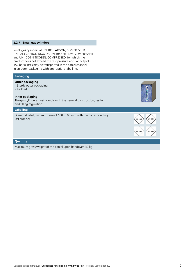# <span id="page-9-0"></span>**2.2.7 Small gas cylinders**

Small gas cylinders of UN 1006 ARGON, COMPRESSED, UN 1013 CARBON DIOXIDE, UN 1046 HELIUM, COMPRESSED and UN 1066 NITROGEN, COMPRESSED, for which the product does not exceed the test pressure and capacity of 152 bar × litres may be transported in the parcel channel in an outer packaging with appropriate labelling.

# **Packaging**

### **Outer packaging**

– Sturdy outer packaging – Padded

### **Inner packaging**

The gas cylinders must comply with the general construction, testing and filling regulations.

# **Labelling**

Diamond label, minimum size of  $100 \times 100$  mm with the corresponding UN number



# **Quantity**

Maximum gross weight of the parcel upon handover: 30 kg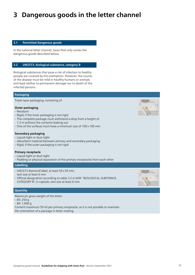# <span id="page-10-0"></span>**3 Dangerous goods in the letter channel**

# **3.1 Permitted dangerous goods**

In the national letter channel, Swiss Post only carries the dangerous goods described below.

# **3.2 UN3373, biological substance, category B**

Biological substances that pose a risk of infection to healthy people are covered by this exemption. However, the course of the disease must be mild in healthy humans or animals and lead neither to permanent damage nor to death of the infected persons.

# **Packaging**

Triple-layer packaging, consisting of:

#### **Outer packaging**

- Resistant
- Rigid, if the inner packaging is not rigid
- The complete package must withstand a drop from a height of 1.2 m without the contents leaking out
- One of the surfaces must have a minimum size of  $100 \times 100$  mm

#### **Secondary packaging**

- Liquid-tight or dust-tight
- Absorbent material between primary and secondary packaging
- Rigid, if the outer packaging is not rigid

### **Primary receptacle**

- Liquid-tight or dust-tight
- Padding or physical separation of the primary receptacles from each other

#### **Labelling**

 $-$  UN3373 diamond label, at least 50 $\times$ 50 mm, text size at least 6 mm – Official designation according to table 3.2 A ADR: "BIOLOGICAL SUBSTANCE, CATEGORY B", in capitals, text size at least 6 mm



#### **Quantity**

Maximum gross weight of the letter:

- B5: 250 g
- B4: 1,000 g

Content maximum 50 ml per primary receptacle, as it is not possible to maintain the orientation of a package in letter mailing.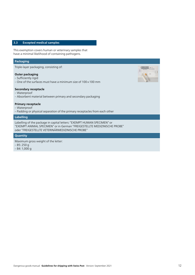# <span id="page-11-0"></span>**3.3 Excepted medical samples**

This exemption covers human or veterinary samples that have a minimal likelihood of containing pathogens.

#### **Packaging**

Triple-layer packaging, consisting of:

# **Outer packaging**

- Sufficiently rigid
- One of the surfaces must have a minimum size of  $100 \times 100$  mm

### **Secondary receptacle**

- Waterproof
- Absorbent material between primary and secondary packaging

# **Primary receptacle**

- Waterproof
- Padding or physical separation of the primary receptacles from each other

# **Labelling**

Labelling of the package in capital letters: "EXEMPT HUMAN SPECIMEN" or "EXEMPT ANIMAL SPECIMEN" or in German "FREIGESTELLTE MEDIZINISCHE PROBE" oder "FREIGESTELLTE VETERINÄRMEDIZINISCHE PROBE"

#### **Quantity**

Maximum gross weight of the letter: – B5: 250 g – B4: 1,000 g

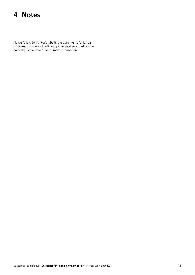# <span id="page-12-0"></span>**4 Notes**

Please follow Swiss Post's labelling requirements for letters (data matrix code and LAB) and parcels (value-added service barcode). See our website for more information.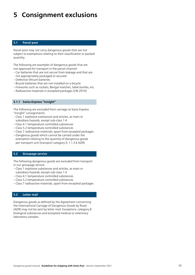# <span id="page-13-0"></span>**5 Consignment exclusions**

# **5.1 Parcel post**

Parcel post may not carry dangerous goods that are not subject to exemptions relating to their classification or packed quantity.

The following are examples of dangerous goods that are not approved for transport in the parcel channel:

- Car batteries that are not secure from leakage and that are not appropriately packaged or secured
- Defective lithium batteries
- Bicycle batteries that are not installed on a bicycle
- Fireworks such as rockets, Bengal matches, table bombs, etc.
- Radioactive materials in excepted packages (UN 2910)

## **5.1.1 Swiss-Express "Innight"**

The following are excluded from carriage as Swiss Express "Innight" consignments:

- Class 1 explosive substances and articles, as main or sub sidiary hazards, except sub-class 1.4
- Class 4.1 temperature controlled substances
- Class 5.2 temperature controlled substances
- Class 7 radioactive materials, apart from excepted packages
- Dangerous goods which cannot be carried under the exemption relating to the quantity of dangerous goods per transport unit (transport category 0, 1.1.3.6 ADR)

#### **5.2 Groupage service**

The following dangerous goods are excluded from transport in our groupage service:

- Class 1 explosive substances and articles, as main or subsidiary hazards, except sub-class 1.4
- Class 4.1 temperature controlled substances
- Class 5.2 temperature controlled substances
- Class 7 radioactive materials, apart from excepted packages

#### **5.3 Letter mail**

Dangerous goods as defined by the Agreement concerning the International Carriage of Dangerous Goods by Road (ADR) may not be sent by letter mail. Exceptions: category B biological substances and excepted medical or veterinary laboratory samples.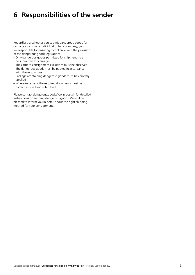# <span id="page-14-0"></span>**6 Responsibilities of the sender**

Regardless of whether you submit dangerous goods for carriage as a private individual or for a company, you are responsible for ensuring compliance with the provisions of the dangerous goods legislation:

- Only dangerous goods permitted for shipment may be submitted for carriage
- The carrier's consignment exclusions must be observed
- The dangerous goods must be packed in accordance with the regulations
- Packages containing dangerous goods must be correctly labelled
- Where necessary, the required documents must be correctly issued and submitted

Please contact [dangerous.goods@swisspost.ch](mailto:dangerous.goods@swisspost.ch) for detailed instructions on sending dangerous goods. We will be pleased to inform you in detail about the right shipping method for your consignment.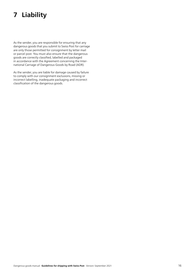# <span id="page-15-0"></span>**7 Liability**

As the sender, you are responsible for ensuring that any dangerous goods that you submit to Swiss Post for carriage are only those permitted for consignment by letter mail or parcel post. You must also ensure that the dangerous goods are correctly classified, labelled and packaged in accordance with the Agreement concerning the International Carriage of Dangerous Goods by Road (ADR).

As the sender, you are liable for damage caused by failure to comply with our consignment exclusions, missing or incorrect labelling, inadequate packaging and incorrect classification of the dangerous goods.